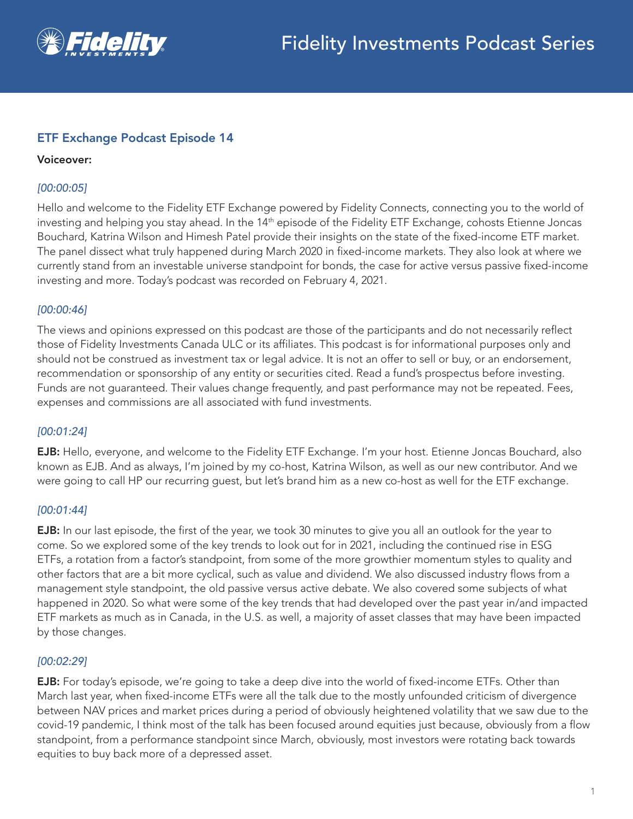

# ETF Exchange Podcast Episode 14

#### Voiceover:

### *[00:00:05]*

Hello and welcome to the Fidelity ETF Exchange powered by Fidelity Connects, connecting you to the world of investing and helping you stay ahead. In the 14<sup>th</sup> episode of the Fidelity ETF Exchange, cohosts Etienne Joncas Bouchard, Katrina Wilson and Himesh Patel provide their insights on the state of the fixed-income ETF market. The panel dissect what truly happened during March 2020 in fixed-income markets. They also look at where we currently stand from an investable universe standpoint for bonds, the case for active versus passive fixed-income investing and more. Today's podcast was recorded on February 4, 2021.

### *[00:00:46]*

The views and opinions expressed on this podcast are those of the participants and do not necessarily reflect those of Fidelity Investments Canada ULC or its affiliates. This podcast is for informational purposes only and should not be construed as investment tax or legal advice. It is not an offer to sell or buy, or an endorsement, recommendation or sponsorship of any entity or securities cited. Read a fund's prospectus before investing. Funds are not guaranteed. Their values change frequently, and past performance may not be repeated. Fees, expenses and commissions are all associated with fund investments.

### *[00:01:24]*

EJB: Hello, everyone, and welcome to the Fidelity ETF Exchange. I'm your host. Etienne Joncas Bouchard, also known as EJB. And as always, I'm joined by my co-host, Katrina Wilson, as well as our new contributor. And we were going to call HP our recurring guest, but let's brand him as a new co-host as well for the ETF exchange.

#### *[00:01:44]*

**EJB:** In our last episode, the first of the year, we took 30 minutes to give you all an outlook for the year to come. So we explored some of the key trends to look out for in 2021, including the continued rise in ESG ETFs, a rotation from a factor's standpoint, from some of the more growthier momentum styles to quality and other factors that are a bit more cyclical, such as value and dividend. We also discussed industry flows from a management style standpoint, the old passive versus active debate. We also covered some subjects of what happened in 2020. So what were some of the key trends that had developed over the past year in/and impacted ETF markets as much as in Canada, in the U.S. as well, a majority of asset classes that may have been impacted by those changes.

#### *[00:02:29]*

EJB: For today's episode, we're going to take a deep dive into the world of fixed-income ETFs. Other than March last year, when fixed-income ETFs were all the talk due to the mostly unfounded criticism of divergence between NAV prices and market prices during a period of obviously heightened volatility that we saw due to the covid-19 pandemic, I think most of the talk has been focused around equities just because, obviously from a flow standpoint, from a performance standpoint since March, obviously, most investors were rotating back towards equities to buy back more of a depressed asset.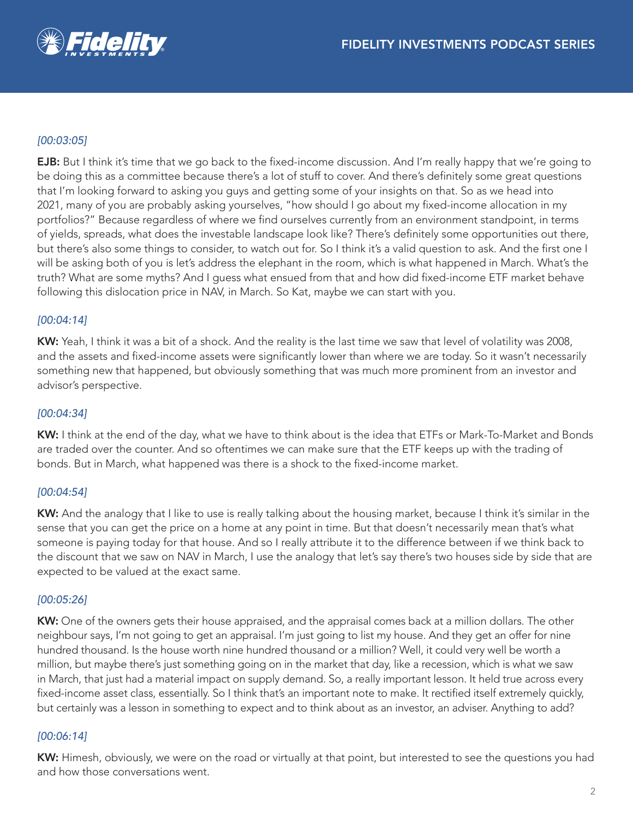

# *[00:03:05]*

EJB: But I think it's time that we go back to the fixed-income discussion. And I'm really happy that we're going to be doing this as a committee because there's a lot of stuff to cover. And there's definitely some great questions that I'm looking forward to asking you guys and getting some of your insights on that. So as we head into 2021, many of you are probably asking yourselves, "how should I go about my fixed-income allocation in my portfolios?" Because regardless of where we find ourselves currently from an environment standpoint, in terms of yields, spreads, what does the investable landscape look like? There's definitely some opportunities out there, but there's also some things to consider, to watch out for. So I think it's a valid question to ask. And the first one I will be asking both of you is let's address the elephant in the room, which is what happened in March. What's the truth? What are some myths? And I guess what ensued from that and how did fixed-income ETF market behave following this dislocation price in NAV, in March. So Kat, maybe we can start with you.

#### *[00:04:14]*

KW: Yeah, I think it was a bit of a shock. And the reality is the last time we saw that level of volatility was 2008, and the assets and fixed-income assets were significantly lower than where we are today. So it wasn't necessarily something new that happened, but obviously something that was much more prominent from an investor and advisor's perspective.

#### *[00:04:34]*

KW: I think at the end of the day, what we have to think about is the idea that ETFs or Mark-To-Market and Bonds are traded over the counter. And so oftentimes we can make sure that the ETF keeps up with the trading of bonds. But in March, what happened was there is a shock to the fixed-income market.

#### *[00:04:54]*

KW: And the analogy that I like to use is really talking about the housing market, because I think it's similar in the sense that you can get the price on a home at any point in time. But that doesn't necessarily mean that's what someone is paying today for that house. And so I really attribute it to the difference between if we think back to the discount that we saw on NAV in March, I use the analogy that let's say there's two houses side by side that are expected to be valued at the exact same.

#### *[00:05:26]*

KW: One of the owners gets their house appraised, and the appraisal comes back at a million dollars. The other neighbour says, I'm not going to get an appraisal. I'm just going to list my house. And they get an offer for nine hundred thousand. Is the house worth nine hundred thousand or a million? Well, it could very well be worth a million, but maybe there's just something going on in the market that day, like a recession, which is what we saw in March, that just had a material impact on supply demand. So, a really important lesson. It held true across every fixed-income asset class, essentially. So I think that's an important note to make. It rectified itself extremely quickly, but certainly was a lesson in something to expect and to think about as an investor, an adviser. Anything to add?

#### *[00:06:14]*

KW: Himesh, obviously, we were on the road or virtually at that point, but interested to see the questions you had and how those conversations went.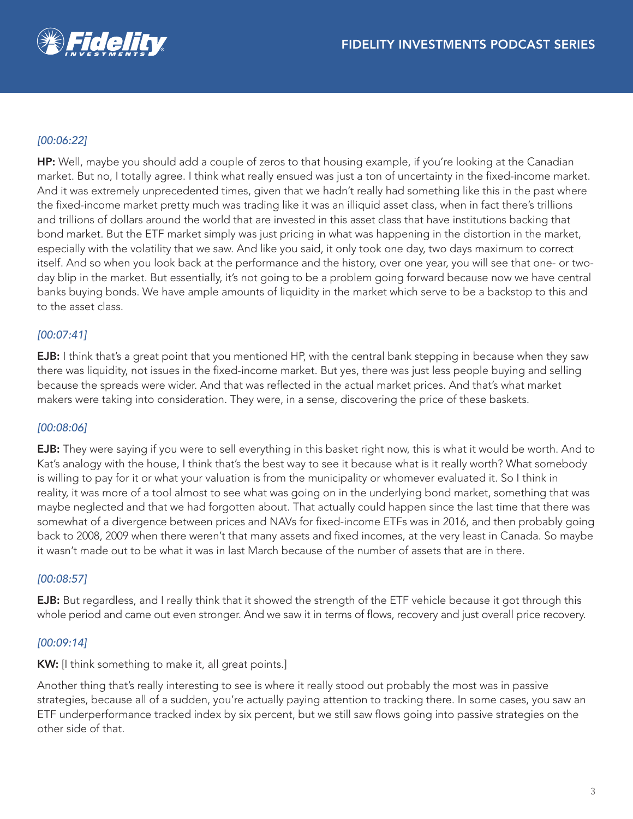

### *[00:06:22]*

HP: Well, maybe you should add a couple of zeros to that housing example, if you're looking at the Canadian market. But no, I totally agree. I think what really ensued was just a ton of uncertainty in the fixed-income market. And it was extremely unprecedented times, given that we hadn't really had something like this in the past where the fixed-income market pretty much was trading like it was an illiquid asset class, when in fact there's trillions and trillions of dollars around the world that are invested in this asset class that have institutions backing that bond market. But the ETF market simply was just pricing in what was happening in the distortion in the market, especially with the volatility that we saw. And like you said, it only took one day, two days maximum to correct itself. And so when you look back at the performance and the history, over one year, you will see that one- or twoday blip in the market. But essentially, it's not going to be a problem going forward because now we have central banks buying bonds. We have ample amounts of liquidity in the market which serve to be a backstop to this and to the asset class.

### *[00:07:41]*

**EJB:** I think that's a great point that you mentioned HP, with the central bank stepping in because when they saw there was liquidity, not issues in the fixed-income market. But yes, there was just less people buying and selling because the spreads were wider. And that was reflected in the actual market prices. And that's what market makers were taking into consideration. They were, in a sense, discovering the price of these baskets.

#### *[00:08:06]*

**EJB:** They were saying if you were to sell everything in this basket right now, this is what it would be worth. And to Kat's analogy with the house, I think that's the best way to see it because what is it really worth? What somebody is willing to pay for it or what your valuation is from the municipality or whomever evaluated it. So I think in reality, it was more of a tool almost to see what was going on in the underlying bond market, something that was maybe neglected and that we had forgotten about. That actually could happen since the last time that there was somewhat of a divergence between prices and NAVs for fixed-income ETFs was in 2016, and then probably going back to 2008, 2009 when there weren't that many assets and fixed incomes, at the very least in Canada. So maybe it wasn't made out to be what it was in last March because of the number of assets that are in there.

#### *[00:08:57]*

**EJB:** But regardless, and I really think that it showed the strength of the ETF vehicle because it got through this whole period and came out even stronger. And we saw it in terms of flows, recovery and just overall price recovery.

#### *[00:09:14]*

KW: [I think something to make it, all great points.]

Another thing that's really interesting to see is where it really stood out probably the most was in passive strategies, because all of a sudden, you're actually paying attention to tracking there. In some cases, you saw an ETF underperformance tracked index by six percent, but we still saw flows going into passive strategies on the other side of that.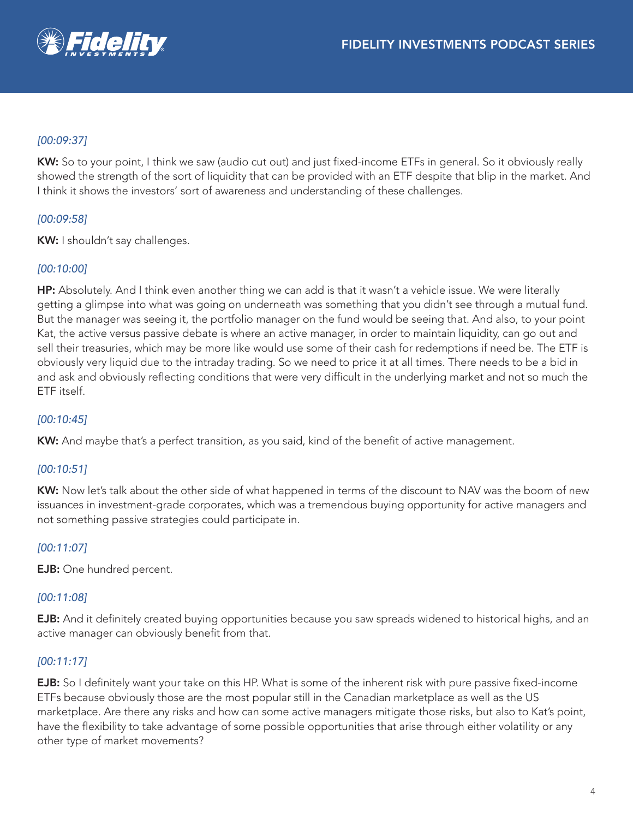

# *[00:09:37]*

KW: So to your point, I think we saw (audio cut out) and just fixed-income ETFs in general. So it obviously really showed the strength of the sort of liquidity that can be provided with an ETF despite that blip in the market. And I think it shows the investors' sort of awareness and understanding of these challenges.

### *[00:09:58]*

KW: I shouldn't say challenges.

### *[00:10:00]*

HP: Absolutely. And I think even another thing we can add is that it wasn't a vehicle issue. We were literally getting a glimpse into what was going on underneath was something that you didn't see through a mutual fund. But the manager was seeing it, the portfolio manager on the fund would be seeing that. And also, to your point Kat, the active versus passive debate is where an active manager, in order to maintain liquidity, can go out and sell their treasuries, which may be more like would use some of their cash for redemptions if need be. The ETF is obviously very liquid due to the intraday trading. So we need to price it at all times. There needs to be a bid in and ask and obviously reflecting conditions that were very difficult in the underlying market and not so much the ETF itself.

#### *[00:10:45]*

KW: And maybe that's a perfect transition, as you said, kind of the benefit of active management.

### *[00:10:51]*

KW: Now let's talk about the other side of what happened in terms of the discount to NAV was the boom of new issuances in investment-grade corporates, which was a tremendous buying opportunity for active managers and not something passive strategies could participate in.

#### *[00:11:07]*

EJB: One hundred percent.

#### *[00:11:08]*

EJB: And it definitely created buying opportunities because you saw spreads widened to historical highs, and an active manager can obviously benefit from that.

#### *[00:11:17]*

**EJB:** So I definitely want your take on this HP. What is some of the inherent risk with pure passive fixed-income ETFs because obviously those are the most popular still in the Canadian marketplace as well as the US marketplace. Are there any risks and how can some active managers mitigate those risks, but also to Kat's point, have the flexibility to take advantage of some possible opportunities that arise through either volatility or any other type of market movements?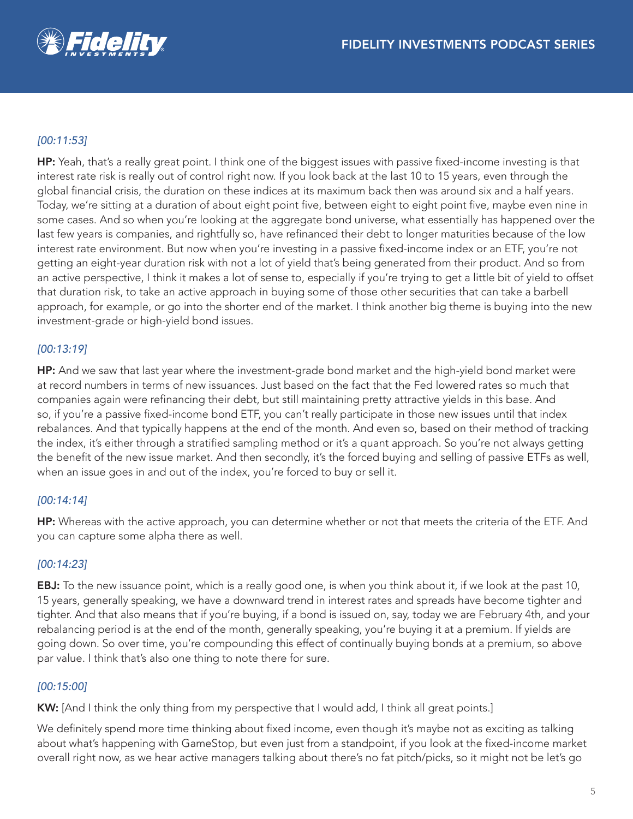

# *[00:11:53]*

HP: Yeah, that's a really great point. I think one of the biggest issues with passive fixed-income investing is that interest rate risk is really out of control right now. If you look back at the last 10 to 15 years, even through the global financial crisis, the duration on these indices at its maximum back then was around six and a half years. Today, we're sitting at a duration of about eight point five, between eight to eight point five, maybe even nine in some cases. And so when you're looking at the aggregate bond universe, what essentially has happened over the last few years is companies, and rightfully so, have refinanced their debt to longer maturities because of the low interest rate environment. But now when you're investing in a passive fixed-income index or an ETF, you're not getting an eight-year duration risk with not a lot of yield that's being generated from their product. And so from an active perspective, I think it makes a lot of sense to, especially if you're trying to get a little bit of yield to offset that duration risk, to take an active approach in buying some of those other securities that can take a barbell approach, for example, or go into the shorter end of the market. I think another big theme is buying into the new investment-grade or high-yield bond issues.

### *[00:13:19]*

HP: And we saw that last year where the investment-grade bond market and the high-yield bond market were at record numbers in terms of new issuances. Just based on the fact that the Fed lowered rates so much that companies again were refinancing their debt, but still maintaining pretty attractive yields in this base. And so, if you're a passive fixed-income bond ETF, you can't really participate in those new issues until that index rebalances. And that typically happens at the end of the month. And even so, based on their method of tracking the index, it's either through a stratified sampling method or it's a quant approach. So you're not always getting the benefit of the new issue market. And then secondly, it's the forced buying and selling of passive ETFs as well, when an issue goes in and out of the index, you're forced to buy or sell it.

#### *[00:14:14]*

HP: Whereas with the active approach, you can determine whether or not that meets the criteria of the ETF. And you can capture some alpha there as well.

#### *[00:14:23]*

EBJ: To the new issuance point, which is a really good one, is when you think about it, if we look at the past 10, 15 years, generally speaking, we have a downward trend in interest rates and spreads have become tighter and tighter. And that also means that if you're buying, if a bond is issued on, say, today we are February 4th, and your rebalancing period is at the end of the month, generally speaking, you're buying it at a premium. If yields are going down. So over time, you're compounding this effect of continually buying bonds at a premium, so above par value. I think that's also one thing to note there for sure.

#### *[00:15:00]*

KW: [And I think the only thing from my perspective that I would add, I think all great points.]

We definitely spend more time thinking about fixed income, even though it's maybe not as exciting as talking about what's happening with GameStop, but even just from a standpoint, if you look at the fixed-income market overall right now, as we hear active managers talking about there's no fat pitch/picks, so it might not be let's go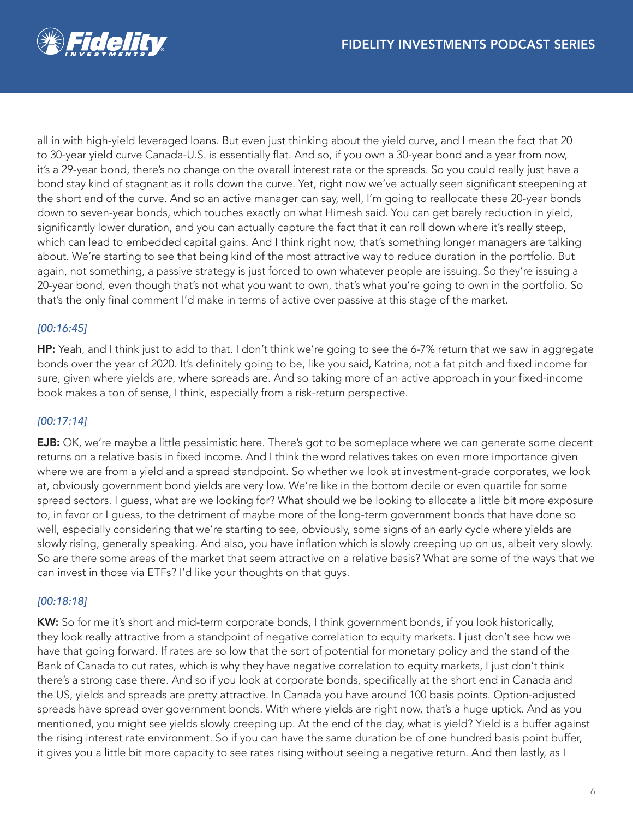

all in with high-yield leveraged loans. But even just thinking about the yield curve, and I mean the fact that 20 to 30-year yield curve Canada-U.S. is essentially flat. And so, if you own a 30-year bond and a year from now, it's a 29-year bond, there's no change on the overall interest rate or the spreads. So you could really just have a bond stay kind of stagnant as it rolls down the curve. Yet, right now we've actually seen significant steepening at the short end of the curve. And so an active manager can say, well, I'm going to reallocate these 20-year bonds down to seven-year bonds, which touches exactly on what Himesh said. You can get barely reduction in yield, significantly lower duration, and you can actually capture the fact that it can roll down where it's really steep, which can lead to embedded capital gains. And I think right now, that's something longer managers are talking about. We're starting to see that being kind of the most attractive way to reduce duration in the portfolio. But again, not something, a passive strategy is just forced to own whatever people are issuing. So they're issuing a 20-year bond, even though that's not what you want to own, that's what you're going to own in the portfolio. So that's the only final comment I'd make in terms of active over passive at this stage of the market.

# *[00:16:45]*

HP: Yeah, and I think just to add to that. I don't think we're going to see the 6-7% return that we saw in aggregate bonds over the year of 2020. It's definitely going to be, like you said, Katrina, not a fat pitch and fixed income for sure, given where yields are, where spreads are. And so taking more of an active approach in your fixed-income book makes a ton of sense, I think, especially from a risk-return perspective.

### *[00:17:14]*

EJB: OK, we're maybe a little pessimistic here. There's got to be someplace where we can generate some decent returns on a relative basis in fixed income. And I think the word relatives takes on even more importance given where we are from a yield and a spread standpoint. So whether we look at investment-grade corporates, we look at, obviously government bond yields are very low. We're like in the bottom decile or even quartile for some spread sectors. I guess, what are we looking for? What should we be looking to allocate a little bit more exposure to, in favor or I guess, to the detriment of maybe more of the long-term government bonds that have done so well, especially considering that we're starting to see, obviously, some signs of an early cycle where yields are slowly rising, generally speaking. And also, you have inflation which is slowly creeping up on us, albeit very slowly. So are there some areas of the market that seem attractive on a relative basis? What are some of the ways that we can invest in those via ETFs? I'd like your thoughts on that guys.

### *[00:18:18]*

KW: So for me it's short and mid-term corporate bonds, I think government bonds, if you look historically, they look really attractive from a standpoint of negative correlation to equity markets. I just don't see how we have that going forward. If rates are so low that the sort of potential for monetary policy and the stand of the Bank of Canada to cut rates, which is why they have negative correlation to equity markets, I just don't think there's a strong case there. And so if you look at corporate bonds, specifically at the short end in Canada and the US, yields and spreads are pretty attractive. In Canada you have around 100 basis points. Option-adjusted spreads have spread over government bonds. With where yields are right now, that's a huge uptick. And as you mentioned, you might see yields slowly creeping up. At the end of the day, what is yield? Yield is a buffer against the rising interest rate environment. So if you can have the same duration be of one hundred basis point buffer, it gives you a little bit more capacity to see rates rising without seeing a negative return. And then lastly, as I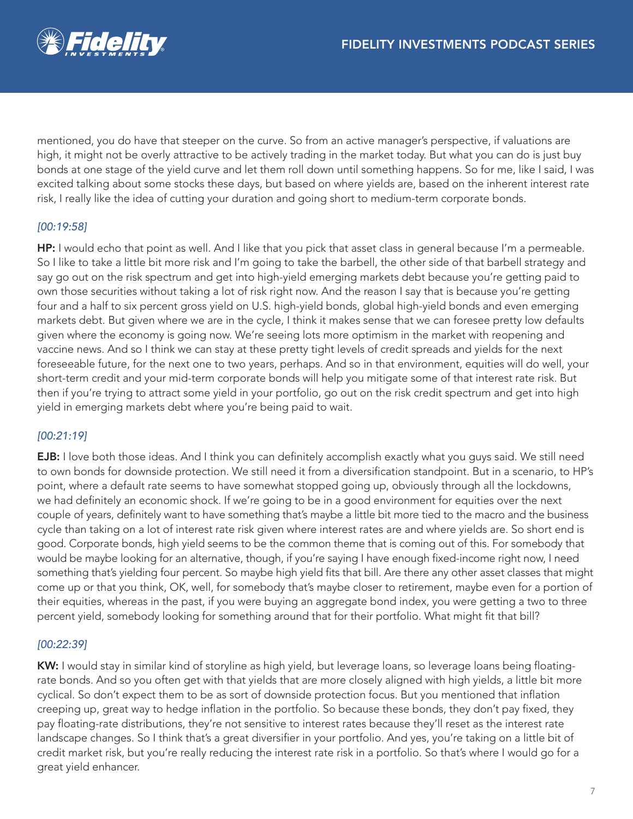

mentioned, you do have that steeper on the curve. So from an active manager's perspective, if valuations are high, it might not be overly attractive to be actively trading in the market today. But what you can do is just buy bonds at one stage of the yield curve and let them roll down until something happens. So for me, like I said, I was excited talking about some stocks these days, but based on where yields are, based on the inherent interest rate risk, I really like the idea of cutting your duration and going short to medium-term corporate bonds.

### *[00:19:58]*

HP: I would echo that point as well. And I like that you pick that asset class in general because I'm a permeable. So I like to take a little bit more risk and I'm going to take the barbell, the other side of that barbell strategy and say go out on the risk spectrum and get into high-yield emerging markets debt because you're getting paid to own those securities without taking a lot of risk right now. And the reason I say that is because you're getting four and a half to six percent gross yield on U.S. high-yield bonds, global high-yield bonds and even emerging markets debt. But given where we are in the cycle, I think it makes sense that we can foresee pretty low defaults given where the economy is going now. We're seeing lots more optimism in the market with reopening and vaccine news. And so I think we can stay at these pretty tight levels of credit spreads and yields for the next foreseeable future, for the next one to two years, perhaps. And so in that environment, equities will do well, your short-term credit and your mid-term corporate bonds will help you mitigate some of that interest rate risk. But then if you're trying to attract some yield in your portfolio, go out on the risk credit spectrum and get into high yield in emerging markets debt where you're being paid to wait.

#### *[00:21:19]*

**EJB:** I love both those ideas. And I think you can definitely accomplish exactly what you guys said. We still need to own bonds for downside protection. We still need it from a diversification standpoint. But in a scenario, to HP's point, where a default rate seems to have somewhat stopped going up, obviously through all the lockdowns, we had definitely an economic shock. If we're going to be in a good environment for equities over the next couple of years, definitely want to have something that's maybe a little bit more tied to the macro and the business cycle than taking on a lot of interest rate risk given where interest rates are and where yields are. So short end is good. Corporate bonds, high yield seems to be the common theme that is coming out of this. For somebody that would be maybe looking for an alternative, though, if you're saying I have enough fixed-income right now, I need something that's yielding four percent. So maybe high yield fits that bill. Are there any other asset classes that might come up or that you think, OK, well, for somebody that's maybe closer to retirement, maybe even for a portion of their equities, whereas in the past, if you were buying an aggregate bond index, you were getting a two to three percent yield, somebody looking for something around that for their portfolio. What might fit that bill?

#### *[00:22:39]*

KW: I would stay in similar kind of storyline as high yield, but leverage loans, so leverage loans being floatingrate bonds. And so you often get with that yields that are more closely aligned with high yields, a little bit more cyclical. So don't expect them to be as sort of downside protection focus. But you mentioned that inflation creeping up, great way to hedge inflation in the portfolio. So because these bonds, they don't pay fixed, they pay floating-rate distributions, they're not sensitive to interest rates because they'll reset as the interest rate landscape changes. So I think that's a great diversifier in your portfolio. And yes, you're taking on a little bit of credit market risk, but you're really reducing the interest rate risk in a portfolio. So that's where I would go for a great yield enhancer.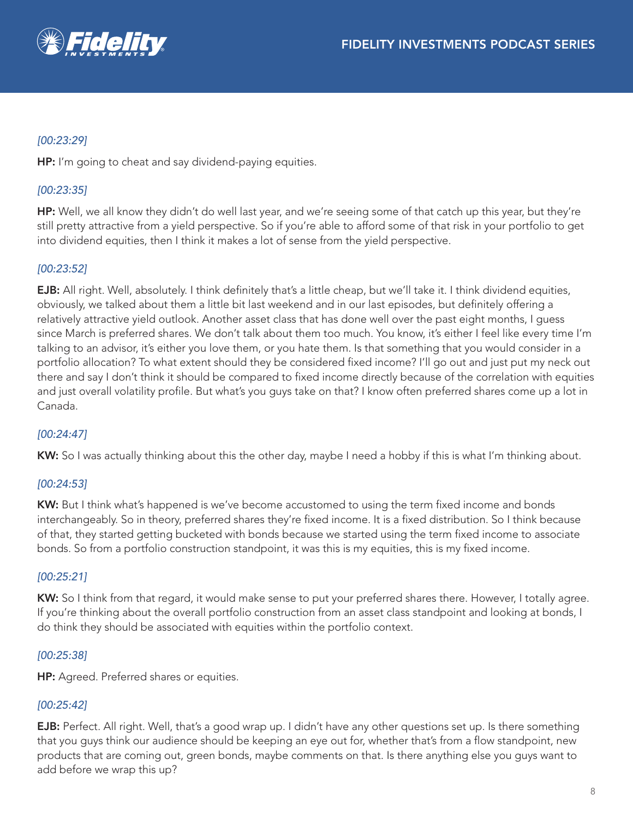

### *[00:23:29]*

HP: I'm going to cheat and say dividend-paying equities.

### *[00:23:35]*

HP: Well, we all know they didn't do well last year, and we're seeing some of that catch up this year, but they're still pretty attractive from a yield perspective. So if you're able to afford some of that risk in your portfolio to get into dividend equities, then I think it makes a lot of sense from the yield perspective.

### *[00:23:52]*

EJB: All right. Well, absolutely. I think definitely that's a little cheap, but we'll take it. I think dividend equities, obviously, we talked about them a little bit last weekend and in our last episodes, but definitely offering a relatively attractive yield outlook. Another asset class that has done well over the past eight months, I guess since March is preferred shares. We don't talk about them too much. You know, it's either I feel like every time I'm talking to an advisor, it's either you love them, or you hate them. Is that something that you would consider in a portfolio allocation? To what extent should they be considered fixed income? I'll go out and just put my neck out there and say I don't think it should be compared to fixed income directly because of the correlation with equities and just overall volatility profile. But what's you guys take on that? I know often preferred shares come up a lot in Canada.

### *[00:24:47]*

KW: So I was actually thinking about this the other day, maybe I need a hobby if this is what I'm thinking about.

#### *[00:24:53]*

KW: But I think what's happened is we've become accustomed to using the term fixed income and bonds interchangeably. So in theory, preferred shares they're fixed income. It is a fixed distribution. So I think because of that, they started getting bucketed with bonds because we started using the term fixed income to associate bonds. So from a portfolio construction standpoint, it was this is my equities, this is my fixed income.

#### *[00:25:21]*

KW: So I think from that regard, it would make sense to put your preferred shares there. However, I totally agree. If you're thinking about the overall portfolio construction from an asset class standpoint and looking at bonds, I do think they should be associated with equities within the portfolio context.

#### *[00:25:38]*

HP: Agreed. Preferred shares or equities.

#### *[00:25:42]*

EJB: Perfect. All right. Well, that's a good wrap up. I didn't have any other questions set up. Is there something that you guys think our audience should be keeping an eye out for, whether that's from a flow standpoint, new products that are coming out, green bonds, maybe comments on that. Is there anything else you guys want to add before we wrap this up?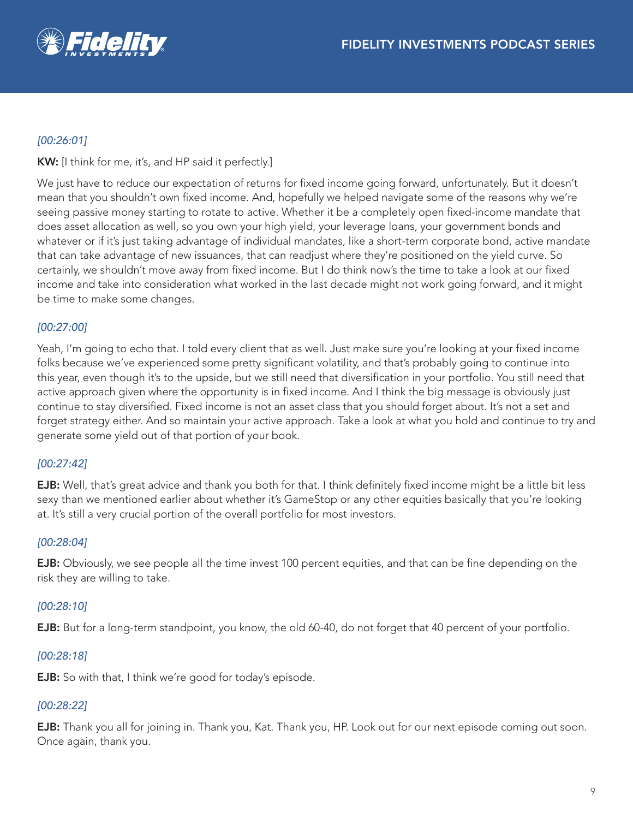

# *[00:26:01]*

KW: [I think for me, it's, and HP said it perfectly.]

We just have to reduce our expectation of returns for fixed income going forward, unfortunately. But it doesn't mean that you shouldn't own fixed income. And, hopefully we helped navigate some of the reasons why we're seeing passive money starting to rotate to active. Whether it be a completely open fixed-income mandate that does asset allocation as well, so you own your high yield, your leverage loans, your government bonds and whatever or if it's just taking advantage of individual mandates, like a short-term corporate bond, active mandate that can take advantage of new issuances, that can readjust where they're positioned on the yield curve. So certainly, we shouldn't move away from fixed income. But I do think now's the time to take a look at our fixed income and take into consideration what worked in the last decade might not work going forward, and it might be time to make some changes.

# *[00:27:00]*

Yeah, I'm going to echo that. I told every client that as well. Just make sure you're looking at your fixed income folks because we've experienced some pretty significant volatility, and that's probably going to continue into this year, even though it's to the upside, but we still need that diversification in your portfolio. You still need that active approach given where the opportunity is in fixed income. And I think the big message is obviously just continue to stay diversified. Fixed income is not an asset class that you should forget about. It's not a set and forget strategy either. And so maintain your active approach. Take a look at what you hold and continue to try and generate some yield out of that portion of your book.

### *[00:27:42]*

EJB: Well, that's great advice and thank you both for that. I think definitely fixed income might be a little bit less sexy than we mentioned earlier about whether it's GameStop or any other equities basically that you're looking at. It's still a very crucial portion of the overall portfolio for most investors.

#### *[00:28:04]*

EJB: Obviously, we see people all the time invest 100 percent equities, and that can be fine depending on the risk they are willing to take.

### *[00:28:10]*

EJB: But for a long-term standpoint, you know, the old 60-40, do not forget that 40 percent of your portfolio.

#### *[00:28:18]*

EJB: So with that, I think we're good for today's episode.

#### *[00:28:22]*

EJB: Thank you all for joining in. Thank you, Kat. Thank you, HP. Look out for our next episode coming out soon. Once again, thank you.